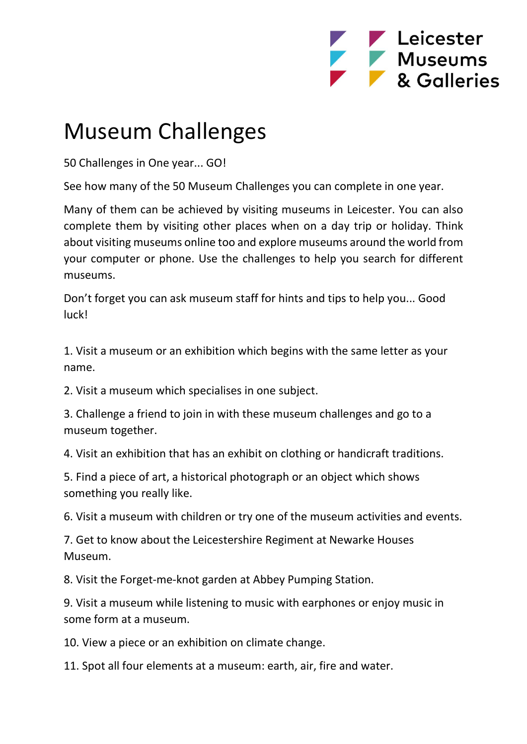

## Museum Challenges

50 Challenges in One year... GO!

See how many of the 50 Museum Challenges you can complete in one year.

Many of them can be achieved by visiting museums in Leicester. You can also complete them by visiting other places when on a day trip or holiday. Think about visiting museums online too and explore museums around the world from your computer or phone. Use the challenges to help you search for different museums.

Don't forget you can ask museum staff for hints and tips to help you... Good luck!

1. Visit a museum or an exhibition which begins with the same letter as your name.

2. Visit a museum which specialises in one subject.

3. Challenge a friend to join in with these museum challenges and go to a museum together.

4. Visit an exhibition that has an exhibit on clothing or handicraft traditions.

5. Find a piece of art, a historical photograph or an object which shows something you really like.

6. Visit a museum with children or try one of the museum activities and events.

7. Get to know about the Leicestershire Regiment at Newarke Houses Museum.

8. Visit the Forget-me-knot garden at Abbey Pumping Station.

9. Visit a museum while listening to music with earphones or enjoy music in some form at a museum.

10. View a piece or an exhibition on climate change.

11. Spot all four elements at a museum: earth, air, fire and water.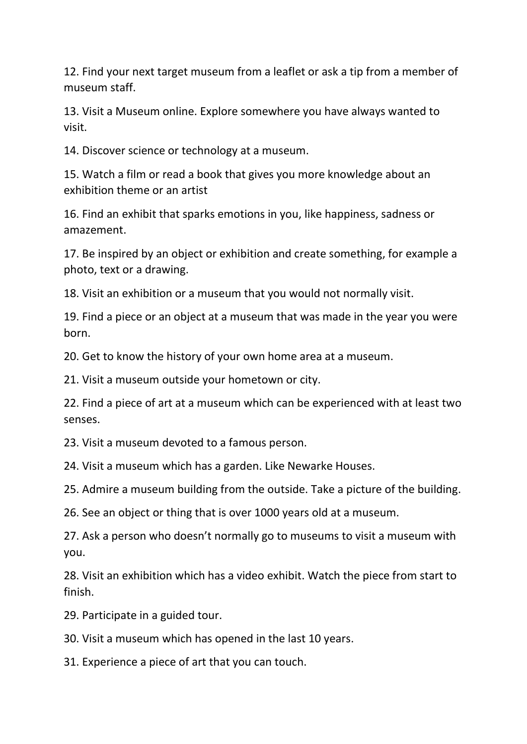12. Find your next target museum from a leaflet or ask a tip from a member of museum staff.

13. Visit a Museum online. Explore somewhere you have always wanted to visit.

14. Discover science or technology at a museum.

15. Watch a film or read a book that gives you more knowledge about an exhibition theme or an artist

16. Find an exhibit that sparks emotions in you, like happiness, sadness or amazement.

17. Be inspired by an object or exhibition and create something, for example a photo, text or a drawing.

18. Visit an exhibition or a museum that you would not normally visit.

19. Find a piece or an object at a museum that was made in the year you were born.

20. Get to know the history of your own home area at a museum.

21. Visit a museum outside your hometown or city.

22. Find a piece of art at a museum which can be experienced with at least two senses.

23. Visit a museum devoted to a famous person.

24. Visit a museum which has a garden. Like Newarke Houses.

25. Admire a museum building from the outside. Take a picture of the building.

26. See an object or thing that is over 1000 years old at a museum.

27. Ask a person who doesn't normally go to museums to visit a museum with you.

28. Visit an exhibition which has a video exhibit. Watch the piece from start to finish.

29. Participate in a guided tour.

30. Visit a museum which has opened in the last 10 years.

31. Experience a piece of art that you can touch.